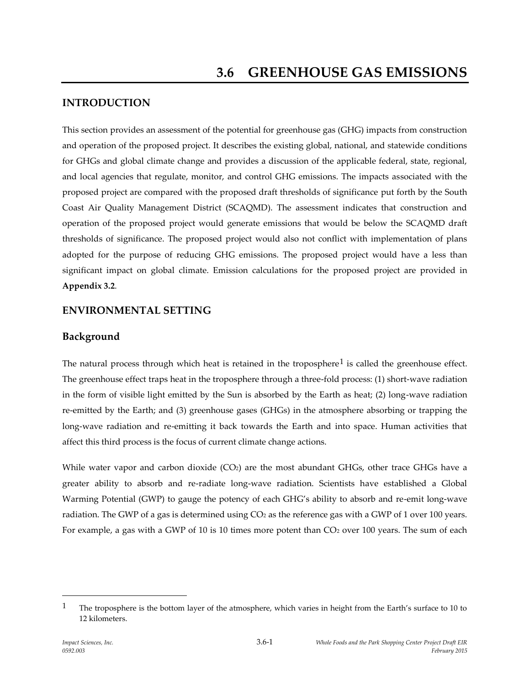## **INTRODUCTION**

This section provides an assessment of the potential for greenhouse gas (GHG) impacts from construction and operation of the proposed project. It describes the existing global, national, and statewide conditions for GHGs and global climate change and provides a discussion of the applicable federal, state, regional, and local agencies that regulate, monitor, and control GHG emissions. The impacts associated with the proposed project are compared with the proposed draft thresholds of significance put forth by the South Coast Air Quality Management District (SCAQMD). The assessment indicates that construction and operation of the proposed project would generate emissions that would be below the SCAQMD draft thresholds of significance. The proposed project would also not conflict with implementation of plans adopted for the purpose of reducing GHG emissions. The proposed project would have a less than significant impact on global climate. Emission calculations for the proposed project are provided in **Appendix 3.2**.

### **ENVIRONMENTAL SETTING**

### **Background**

The natural process through which heat is retained in the troposphere<sup>1</sup> is called the greenhouse effect. The greenhouse effect traps heat in the troposphere through a three-fold process: (1) short-wave radiation in the form of visible light emitted by the Sun is absorbed by the Earth as heat; (2) long-wave radiation re-emitted by the Earth; and (3) greenhouse gases (GHGs) in the atmosphere absorbing or trapping the long-wave radiation and re-emitting it back towards the Earth and into space. Human activities that affect this third process is the focus of current climate change actions.

While water vapor and carbon dioxide  $(CO<sub>2</sub>)$  are the most abundant GHGs, other trace GHGs have a greater ability to absorb and re-radiate long-wave radiation. Scientists have established a Global Warming Potential (GWP) to gauge the potency of each GHG's ability to absorb and re-emit long-wave radiation. The GWP of a gas is determined using  $CO<sub>2</sub>$  as the reference gas with a GWP of 1 over 100 years. For example, a gas with a GWP of 10 is 10 times more potent than  $CO<sub>2</sub>$  over 100 years. The sum of each

<sup>&</sup>lt;sup>1</sup> The troposphere is the bottom layer of the atmosphere, which varies in height from the Earth's surface to 10 to 12 kilometers.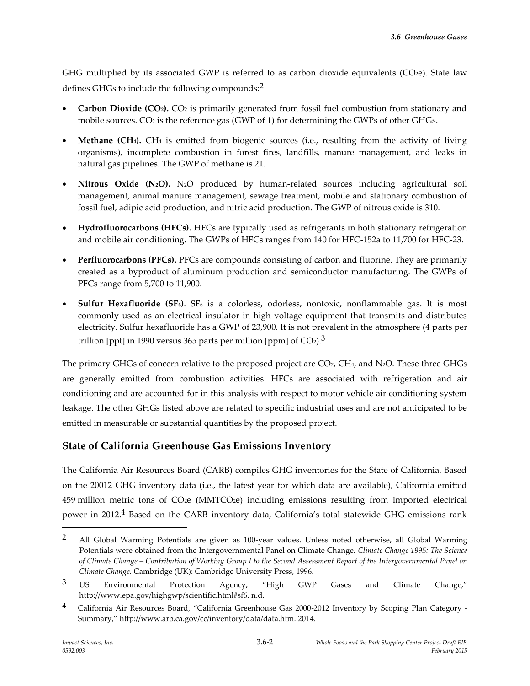GHG multiplied by its associated GWP is referred to as carbon dioxide equivalents (CO2e). State law defines GHGs to include the following compounds:2

- **Carbon Dioxide (CO2).** CO<sup>2</sup> is primarily generated from fossil fuel combustion from stationary and mobile sources.  $CO<sub>2</sub>$  is the reference gas (GWP of 1) for determining the GWPs of other GHGs.
- **Methane (CH4).** CH<sup>4</sup> is emitted from biogenic sources (i.e., resulting from the activity of living organisms), incomplete combustion in forest fires, landfills, manure management, and leaks in natural gas pipelines. The GWP of methane is 21.
- **Nitrous Oxide (N2O).** N2O produced by human-related sources including agricultural soil management, animal manure management, sewage treatment, mobile and stationary combustion of fossil fuel, adipic acid production, and nitric acid production. The GWP of nitrous oxide is 310.
- **Hydrofluorocarbons (HFCs).** HFCs are typically used as refrigerants in both stationary refrigeration and mobile air conditioning. The GWPs of HFCs ranges from 140 for HFC-152a to 11,700 for HFC-23.
- **Perfluorocarbons (PFCs).** PFCs are compounds consisting of carbon and fluorine. They are primarily created as a byproduct of aluminum production and semiconductor manufacturing. The GWPs of PFCs range from 5,700 to 11,900.
- **Sulfur Hexafluoride (SF6)**. SF<sup>6</sup> is a colorless, odorless, nontoxic, nonflammable gas. It is most commonly used as an electrical insulator in high voltage equipment that transmits and distributes electricity. Sulfur hexafluoride has a GWP of 23,900. It is not prevalent in the atmosphere (4 parts per trillion [ppt] in 1990 versus 365 parts per million [ppm] of  $CO<sub>2</sub>$ ).<sup>3</sup>

The primary GHGs of concern relative to the proposed project are CO<sub>2</sub>, CH<sub>4</sub>, and N<sub>2</sub>O. These three GHGs are generally emitted from combustion activities. HFCs are associated with refrigeration and air conditioning and are accounted for in this analysis with respect to motor vehicle air conditioning system leakage. The other GHGs listed above are related to specific industrial uses and are not anticipated to be emitted in measurable or substantial quantities by the proposed project.

## **State of California Greenhouse Gas Emissions Inventory**

The California Air Resources Board (CARB) compiles GHG inventories for the State of California. Based on the 20012 GHG inventory data (i.e., the latest year for which data are available), California emitted 459 million metric tons of CO2e (MMTCO2e) including emissions resulting from imported electrical power in 2012.<sup>4</sup> Based on the CARB inventory data, California's total statewide GHG emissions rank

<sup>&</sup>lt;sup>2</sup> All Global Warming Potentials are given as 100-year values. Unless noted otherwise, all Global Warming Potentials were obtained from the Intergovernmental Panel on Climate Change. *Climate Change 1995: The Science of Climate Change – Contribution of Working Group I to the Second Assessment Report of the Intergovernmental Panel on Climate Change*. Cambridge (UK): Cambridge University Press, 1996.

 $3$  US Environmental Protection Agency, "High GWP Gases and Climate Change," http://www.epa.gov/highgwp/scientific.html#sf6. n.d.

<sup>4</sup> California Air Resources Board, "California Greenhouse Gas 2000-2012 Inventory by Scoping Plan Category - Summary," http://www.arb.ca.gov/cc/inventory/data/data.htm. 2014.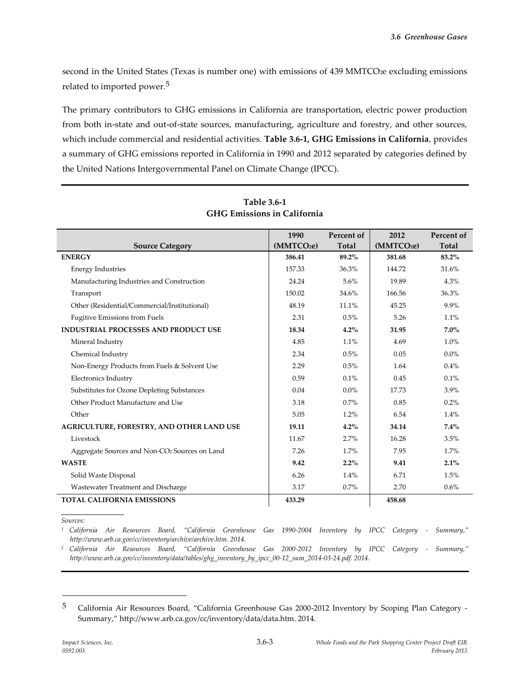second in the United States (Texas is number one) with emissions of 439 MMTCO<sub>2</sub>e excluding emissions related to imported power.<sup>5</sup>

The primary contributors to GHG emissions in California are transportation, electric power production from both in-state and out-of-state sources, manufacturing, agriculture and forestry, and other sources, which include commercial and residential activities. **Table 3.6-1, GHG Emissions in California**, provides a summary of GHG emissions reported in California in 1990 and 2012 separated by categories defined by the United Nations Intergovernmental Panel on Climate Change (IPCC).

|                                                           | 1990                   | Percent of | 2012                   | Percent of   |
|-----------------------------------------------------------|------------------------|------------|------------------------|--------------|
| <b>Source Category</b>                                    | (MMTCO <sub>2</sub> e) | Total      | (MMTCO <sub>2</sub> e) | <b>Total</b> |
| <b>ENERGY</b>                                             | 386.41                 | 89.2%      | 381.68                 | 83.2%        |
| <b>Energy Industries</b>                                  | 157.33                 | 36.3%      | 144.72                 | 31.6%        |
| Manufacturing Industries and Construction                 | 24.24                  | 5.6%       | 19.89                  | 4.3%         |
| Transport                                                 | 150.02                 | 34.6%      | 166.56                 | 36.3%        |
| Other (Residential/Commercial/Institutional)              | 48.19                  | 11.1%      | 45.25                  | 9.9%         |
| <b>Fugitive Emissions from Fuels</b>                      | 2.31                   | 0.5%       | 5.26                   | 1.1%         |
| <b>INDUSTRIAL PROCESSES AND PRODUCT USE</b>               | 18.34                  | 4.2%       | 31.95                  | $7.0\%$      |
| Mineral Industry                                          | 4.85                   | 1.1%       | 4.69                   | 1.0%         |
| Chemical Industry                                         | 2.34                   | 0.5%       | 0.05                   | $0.0\%$      |
| Non-Energy Products from Fuels & Solvent Use              | 2.29                   | 0.5%       | 1.64                   | 0.4%         |
| Electronics Industry                                      | 0.59                   | 0.1%       | 0.45                   | 0.1%         |
| Substitutes for Ozone Depleting Substances                | 0.04                   | $0.0\%$    | 17.73                  | 3.9%         |
| Other Product Manufacture and Use                         | 3.18                   | 0.7%       | 0.85                   | 0.2%         |
| Other                                                     | 5.05                   | 1.2%       | 6.54                   | 1.4%         |
| AGRICULTURE, FORESTRY, AND OTHER LAND USE                 | 19.11                  | 4.2%       | 34.14                  | 7.4%         |
| Livestock                                                 | 11.67                  | 2.7%       | 16.28                  | 3.5%         |
| Aggregate Sources and Non-CO <sub>2</sub> Sources on Land | 7.26                   | 1.7%       | 7.95                   | 1.7%         |
| <b>WASTE</b>                                              | 9.42                   | $2.2\%$    | 9.41                   | 2.1%         |
| Solid Waste Disposal                                      | 6.26                   | 1.4%       | 6.71                   | 1.5%         |
| Wastewater Treatment and Discharge                        | 3.17                   | 0.7%       | 2.70                   | 0.6%         |
| <b>TOTAL CALIFORNIA EMISSIONS</b>                         | 433.29                 |            | 458.68                 |              |

#### **Table 3.6-1 GHG Emissions in California**

*Sources:*

 $\overline{a}$ 

*<sup>1</sup> California Air Resources Board, "California Greenhouse Gas 1990-2004 Inventory by IPCC Category - Summary," http://www.arb.ca.gov/cc/inventory/archive/archive.htm. 2014.*

*<sup>2</sup> California Air Resources Board, "California Greenhouse Gas 2000-2012 Inventory by IPCC Category - Summary," http://www.arb.ca.gov/cc/inventory/data/tables/ghg\_inventory\_by\_ipcc\_00-12\_sum\_2014-03-24.pdf. 2014.*

<sup>5</sup> California Air Resources Board, "California Greenhouse Gas 2000-2012 Inventory by Scoping Plan Category - Summary," http://www.arb.ca.gov/cc/inventory/data/data.htm. 2014.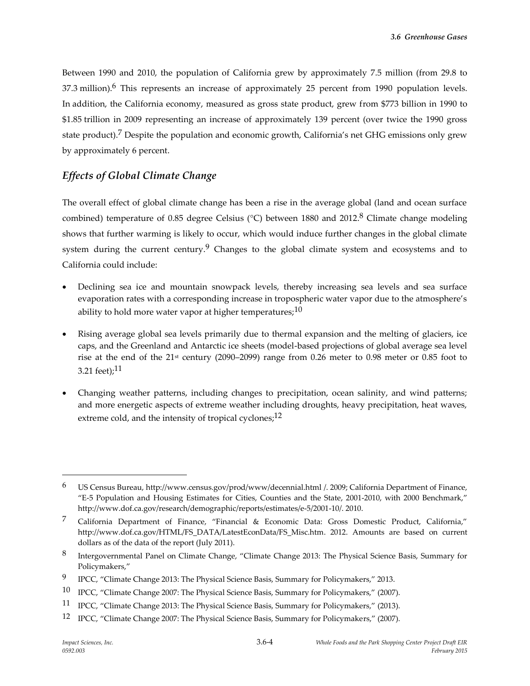Between 1990 and 2010, the population of California grew by approximately 7.5 million (from 29.8 to 37.3 million).<sup>6</sup> This represents an increase of approximately 25 percent from 1990 population levels. In addition, the California economy, measured as gross state product, grew from \$773 billion in 1990 to \$1.85 trillion in 2009 representing an increase of approximately 139 percent (over twice the 1990 gross state product).<sup>7</sup> Despite the population and economic growth, California's net GHG emissions only grew by approximately 6 percent.

## *Effects of Global Climate Change*

The overall effect of global climate change has been a rise in the average global (land and ocean surface combined) temperature of 0.85 degree Celsius (°C) between 1880 and 2012.<sup>8</sup> Climate change modeling shows that further warming is likely to occur, which would induce further changes in the global climate system during the current century.<sup>9</sup> Changes to the global climate system and ecosystems and to California could include:

- Declining sea ice and mountain snowpack levels, thereby increasing sea levels and sea surface evaporation rates with a corresponding increase in tropospheric water vapor due to the atmosphere's ability to hold more water vapor at higher temperatures; $10$
- Rising average global sea levels primarily due to thermal expansion and the melting of glaciers, ice caps, and the Greenland and Antarctic ice sheets (model-based projections of global average sea level rise at the end of the  $21<sup>st</sup>$  century (2090–2099) range from 0.26 meter to 0.98 meter or 0.85 foot to 3.21 feet); $^{11}$
- Changing weather patterns, including changes to precipitation, ocean salinity, and wind patterns; and more energetic aspects of extreme weather including droughts, heavy precipitation, heat waves, extreme cold, and the intensity of tropical cyclones; $^{12}$

<sup>6</sup> US Census Bureau, http://www.census.gov/prod/www/decennial.html /. 2009; California Department of Finance, "E-5 Population and Housing Estimates for Cities, Counties and the State, 2001-2010, with 2000 Benchmark," http://www.dof.ca.gov/research/demographic/reports/estimates/e-5/2001-10/. 2010.

<sup>7</sup> California Department of Finance, "Financial & Economic Data: Gross Domestic Product, California," http://www.dof.ca.gov/HTML/FS\_DATA/LatestEconData/FS\_Misc.htm. 2012. Amounts are based on current dollars as of the data of the report (July 2011).

<sup>8</sup> Intergovernmental Panel on Climate Change, "Climate Change 2013: The Physical Science Basis, Summary for Policymakers,"

<sup>9</sup> IPCC, "Climate Change 2013: The Physical Science Basis, Summary for Policymakers," 2013.

<sup>10</sup> IPCC, "Climate Change 2007: The Physical Science Basis, Summary for Policymakers," (2007).

<sup>11</sup> IPCC, "Climate Change 2013: The Physical Science Basis, Summary for Policymakers," (2013).

<sup>12</sup> IPCC, "Climate Change 2007: The Physical Science Basis, Summary for Policymakers," (2007).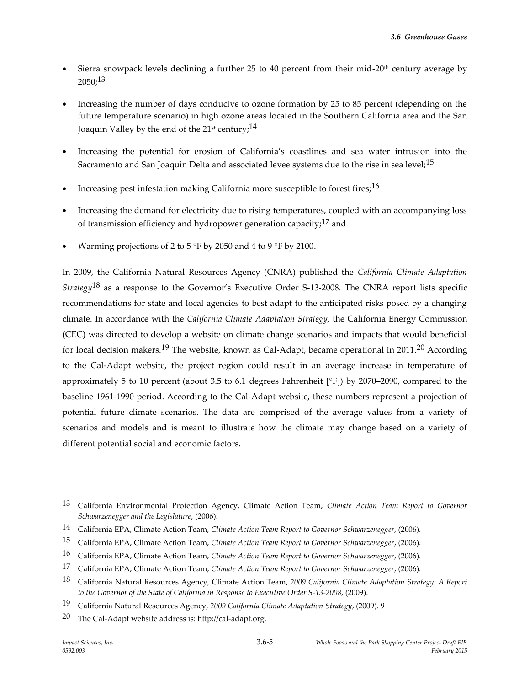- Sierra snowpack levels declining a further 25 to 40 percent from their mid-20<sup>th</sup> century average by 2050; 13
- Increasing the number of days conducive to ozone formation by 25 to 85 percent (depending on the future temperature scenario) in high ozone areas located in the Southern California area and the San Joaquin Valley by the end of the 21<sup>st</sup> century;<sup>14</sup>
- Increasing the potential for erosion of California's coastlines and sea water intrusion into the Sacramento and San Joaquin Delta and associated levee systems due to the rise in sea level;<sup>15</sup>
- Increasing pest infestation making California more susceptible to forest fires;<sup>16</sup>
- Increasing the demand for electricity due to rising temperatures, coupled with an accompanying loss of transmission efficiency and hydropower generation capacity;  $17$  and
- Warming projections of 2 to 5 °F by 2050 and 4 to 9 °F by 2100.

In 2009, the California Natural Resources Agency (CNRA) published the *California Climate Adaptation Strategy*18 as a response to the Governor's Executive Order S-13-2008. The CNRA report lists specific recommendations for state and local agencies to best adapt to the anticipated risks posed by a changing climate. In accordance with the *California Climate Adaptation Strategy*, the California Energy Commission (CEC) was directed to develop a website on climate change scenarios and impacts that would beneficial for local decision makers.<sup>19</sup> The website, known as Cal-Adapt, became operational in 2011.<sup>20</sup> According to the Cal-Adapt website, the project region could result in an average increase in temperature of approximately 5 to 10 percent (about 3.5 to 6.1 degrees Fahrenheit [°F]) by 2070–2090, compared to the baseline 1961-1990 period. According to the Cal-Adapt website, these numbers represent a projection of potential future climate scenarios. The data are comprised of the average values from a variety of scenarios and models and is meant to illustrate how the climate may change based on a variety of different potential social and economic factors.

<sup>13</sup> California Environmental Protection Agency, Climate Action Team, *Climate Action Team Report to Governor Schwarzenegger and the Legislature*, (2006).

<sup>14</sup> California EPA, Climate Action Team, *Climate Action Team Report to Governor Schwarzenegger*, (2006).

<sup>15</sup> California EPA, Climate Action Team, *Climate Action Team Report to Governor Schwarzenegger*, (2006).

<sup>16</sup> California EPA, Climate Action Team, *Climate Action Team Report to Governor Schwarzenegger*, (2006).

<sup>17</sup> California EPA, Climate Action Team, *Climate Action Team Report to Governor Schwarzenegger*, (2006).

<sup>18</sup> California Natural Resources Agency, Climate Action Team, *2009 California Climate Adaptation Strategy: A Report to the Governor of the State of California in Response to Executive Order S-13-2008*, (2009).

<sup>19</sup> California Natural Resources Agency, *2009 California Climate Adaptation Strategy*, (2009). 9

<sup>20</sup> The Cal-Adapt website address is: http://cal-adapt.org.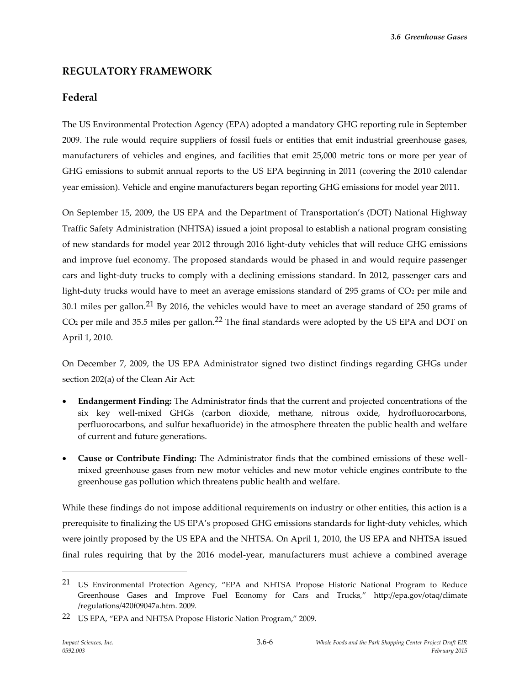## **REGULATORY FRAMEWORK**

### **Federal**

The US Environmental Protection Agency (EPA) adopted a mandatory GHG reporting rule in September 2009. The rule would require suppliers of fossil fuels or entities that emit industrial greenhouse gases, manufacturers of vehicles and engines, and facilities that emit 25,000 metric tons or more per year of GHG emissions to submit annual reports to the US EPA beginning in 2011 (covering the 2010 calendar year emission). Vehicle and engine manufacturers began reporting GHG emissions for model year 2011.

On September 15, 2009, the US EPA and the Department of Transportation's (DOT) National Highway Traffic Safety Administration (NHTSA) issued a joint proposal to establish a national program consisting of new standards for model year 2012 through 2016 light-duty vehicles that will reduce GHG emissions and improve fuel economy. The proposed standards would be phased in and would require passenger cars and light-duty trucks to comply with a declining emissions standard. In 2012, passenger cars and light-duty trucks would have to meet an average emissions standard of 295 grams of  $CO<sub>2</sub>$  per mile and 30.1 miles per gallon.<sup>21</sup> By 2016, the vehicles would have to meet an average standard of 250 grams of  $CO<sub>2</sub>$  per mile and 35.5 miles per gallon.<sup>22</sup> The final standards were adopted by the US EPA and DOT on April 1, 2010.

On December 7, 2009, the US EPA Administrator signed two distinct findings regarding GHGs under section 202(a) of the Clean Air Act:

- **Endangerment Finding:** The Administrator finds that the current and projected concentrations of the six key well-mixed GHGs (carbon dioxide, methane, nitrous oxide, hydrofluorocarbons, perfluorocarbons, and sulfur hexafluoride) in the atmosphere threaten the public health and welfare of current and future generations.
- **Cause or Contribute Finding:** The Administrator finds that the combined emissions of these wellmixed greenhouse gases from new motor vehicles and new motor vehicle engines contribute to the greenhouse gas pollution which threatens public health and welfare.

While these findings do not impose additional requirements on industry or other entities, this action is a prerequisite to finalizing the US EPA's proposed GHG emissions standards for light-duty vehicles, which were jointly proposed by the US EPA and the NHTSA. On April 1, 2010, the US EPA and NHTSA issued final rules requiring that by the 2016 model-year, manufacturers must achieve a combined average

<sup>&</sup>lt;sup>21</sup> US Environmental Protection Agency, "EPA and NHTSA Propose Historic National Program to Reduce Greenhouse Gases and Improve Fuel Economy for Cars and Trucks," http://epa.gov/otaq/climate /regulations/420f09047a.htm. 2009.

<sup>22</sup> US EPA, "EPA and NHTSA Propose Historic Nation Program," 2009.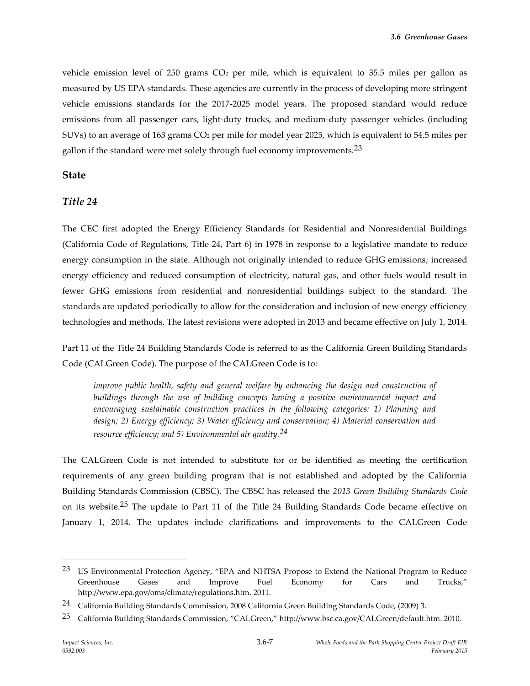vehicle emission level of 250 grams  $CO<sub>2</sub>$  per mile, which is equivalent to 35.5 miles per gallon as measured by US EPA standards. These agencies are currently in the process of developing more stringent vehicle emissions standards for the 2017-2025 model years. The proposed standard would reduce emissions from all passenger cars, light-duty trucks, and medium-duty passenger vehicles (including SUVs) to an average of 163 grams CO<sup>2</sup> per mile for model year 2025, which is equivalent to 54.5 miles per gallon if the standard were met solely through fuel economy improvements.<sup>23</sup>

#### **State**

### *Title 24*

The CEC first adopted the Energy Efficiency Standards for Residential and Nonresidential Buildings (California Code of Regulations, Title 24, Part 6) in 1978 in response to a legislative mandate to reduce energy consumption in the state. Although not originally intended to reduce GHG emissions; increased energy efficiency and reduced consumption of electricity, natural gas, and other fuels would result in fewer GHG emissions from residential and nonresidential buildings subject to the standard. The standards are updated periodically to allow for the consideration and inclusion of new energy efficiency technologies and methods. The latest revisions were adopted in 2013 and became effective on July 1, 2014.

Part 11 of the Title 24 Building Standards Code is referred to as the California Green Building Standards Code (CALGreen Code). The purpose of the CALGreen Code is to:

*improve public health, safety and general welfare by enhancing the design and construction of buildings through the use of building concepts having a positive environmental impact and encouraging sustainable construction practices in the following categories: 1) Planning and design; 2) Energy efficiency; 3) Water efficiency and conservation; 4) Material conservation and resource efficiency; and 5) Environmental air quality.24*

The CALGreen Code is not intended to substitute for or be identified as meeting the certification requirements of any green building program that is not established and adopted by the California Building Standards Commission (CBSC). The CBSC has released the *2013 Green Building Standards Code* on its website.25 The update to Part 11 of the Title 24 Building Standards Code became effective on January 1, 2014. The updates include clarifications and improvements to the CALGreen Code

<sup>&</sup>lt;sup>23</sup> US Environmental Protection Agency, "EPA and NHTSA Propose to Extend the National Program to Reduce Greenhouse Gases and Improve Fuel Economy for Cars and Trucks," http://www.epa.gov/oms/climate/regulations.htm. 2011.

<sup>24</sup> California Building Standards Commission, 2008 California Green Building Standards Code, (2009) 3.

<sup>25</sup> California Building Standards Commission, "CALGreen," http://www.bsc.ca.gov/CALGreen/default.htm. 2010.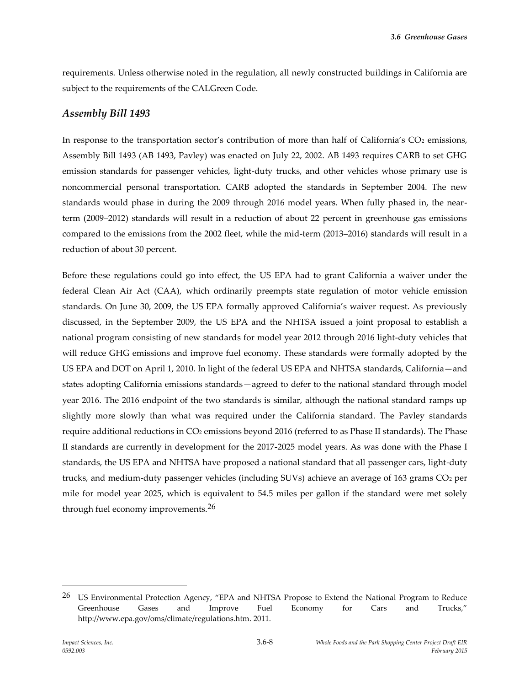requirements. Unless otherwise noted in the regulation, all newly constructed buildings in California are subject to the requirements of the CALGreen Code.

#### *Assembly Bill 1493*

In response to the transportation sector's contribution of more than half of California's CO<sub>2</sub> emissions, Assembly Bill 1493 (AB 1493, Pavley) was enacted on July 22, 2002. AB 1493 requires CARB to set GHG emission standards for passenger vehicles, light-duty trucks, and other vehicles whose primary use is noncommercial personal transportation. CARB adopted the standards in September 2004. The new standards would phase in during the 2009 through 2016 model years. When fully phased in, the nearterm (2009–2012) standards will result in a reduction of about 22 percent in greenhouse gas emissions compared to the emissions from the 2002 fleet, while the mid-term (2013–2016) standards will result in a reduction of about 30 percent.

Before these regulations could go into effect, the US EPA had to grant California a waiver under the federal Clean Air Act (CAA), which ordinarily preempts state regulation of motor vehicle emission standards. On June 30, 2009, the US EPA formally approved California's waiver request. As previously discussed, in the September 2009, the US EPA and the NHTSA issued a joint proposal to establish a national program consisting of new standards for model year 2012 through 2016 light-duty vehicles that will reduce GHG emissions and improve fuel economy. These standards were formally adopted by the US EPA and DOT on April 1, 2010. In light of the federal US EPA and NHTSA standards, California—and states adopting California emissions standards—agreed to defer to the national standard through model year 2016. The 2016 endpoint of the two standards is similar, although the national standard ramps up slightly more slowly than what was required under the California standard. The Pavley standards require additional reductions in CO<sup>2</sup> emissions beyond 2016 (referred to as Phase II standards). The Phase II standards are currently in development for the 2017-2025 model years. As was done with the Phase I standards, the US EPA and NHTSA have proposed a national standard that all passenger cars, light-duty trucks, and medium-duty passenger vehicles (including SUVs) achieve an average of 163 grams CO<sup>2</sup> per mile for model year 2025, which is equivalent to 54.5 miles per gallon if the standard were met solely through fuel economy improvements.26

<sup>26</sup> US Environmental Protection Agency, "EPA and NHTSA Propose to Extend the National Program to Reduce Greenhouse Gases and Improve Fuel Economy for Cars and Trucks," http://www.epa.gov/oms/climate/regulations.htm. 2011.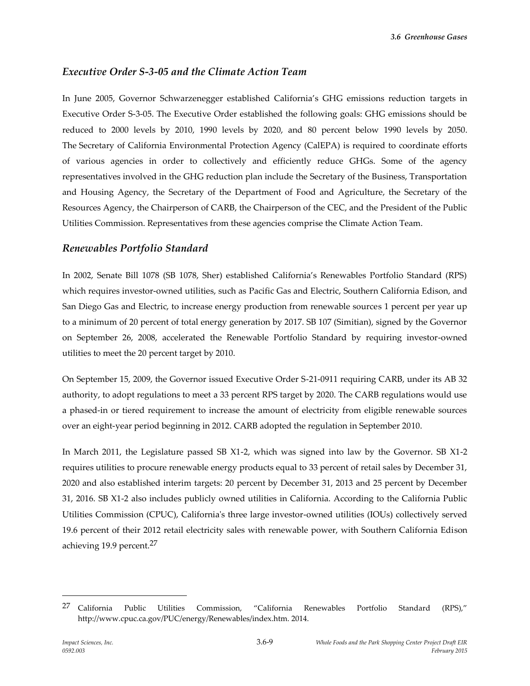### *Executive Order S-3-05 and the Climate Action Team*

In June 2005, Governor Schwarzenegger established California's GHG emissions reduction targets in Executive Order S-3-05. The Executive Order established the following goals: GHG emissions should be reduced to 2000 levels by 2010, 1990 levels by 2020, and 80 percent below 1990 levels by 2050. The Secretary of California Environmental Protection Agency (CalEPA) is required to coordinate efforts of various agencies in order to collectively and efficiently reduce GHGs. Some of the agency representatives involved in the GHG reduction plan include the Secretary of the Business, Transportation and Housing Agency, the Secretary of the Department of Food and Agriculture, the Secretary of the Resources Agency, the Chairperson of CARB, the Chairperson of the CEC, and the President of the Public Utilities Commission. Representatives from these agencies comprise the Climate Action Team.

### *Renewables Portfolio Standard*

In 2002, Senate Bill 1078 (SB 1078, Sher) established California's Renewables Portfolio Standard (RPS) which requires investor-owned utilities, such as Pacific Gas and Electric, Southern California Edison, and San Diego Gas and Electric, to increase energy production from renewable sources 1 percent per year up to a minimum of 20 percent of total energy generation by 2017. SB 107 (Simitian), signed by the Governor on September 26, 2008, accelerated the Renewable Portfolio Standard by requiring investor-owned utilities to meet the 20 percent target by 2010.

On September 15, 2009, the Governor issued Executive Order S-21-0911 requiring CARB, under its AB 32 authority, to adopt regulations to meet a 33 percent RPS target by 2020. The CARB regulations would use a phased-in or tiered requirement to increase the amount of electricity from eligible renewable sources over an eight-year period beginning in 2012. CARB adopted the regulation in September 2010.

In March 2011, the Legislature passed SB X1-2, which was signed into law by the Governor. SB X1-2 requires utilities to procure renewable energy products equal to 33 percent of retail sales by December 31, 2020 and also established interim targets: 20 percent by December 31, 2013 and 25 percent by December 31, 2016. SB X1-2 also includes publicly owned utilities in California. According to the California Public Utilities Commission (CPUC), California's three large investor-owned utilities (IOUs) collectively served 19.6 percent of their 2012 retail electricity sales with renewable power, with Southern California Edison achieving 19.9 percent.27

<sup>27</sup> California Public Utilities Commission, "California Renewables Portfolio Standard (RPS)," http://www.cpuc.ca.gov/PUC/energy/Renewables/index.htm. 2014.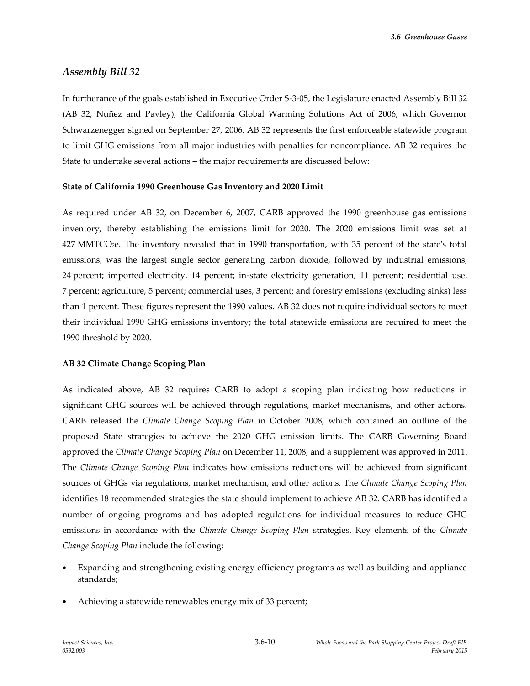*3.6 Greenhouse Gases*

#### *Assembly Bill 32*

In furtherance of the goals established in Executive Order S-3-05, the Legislature enacted Assembly Bill 32 (AB 32, Nuñez and Pavley), the California Global Warming Solutions Act of 2006, which Governor Schwarzenegger signed on September 27, 2006. AB 32 represents the first enforceable statewide program to limit GHG emissions from all major industries with penalties for noncompliance. AB 32 requires the State to undertake several actions – the major requirements are discussed below:

#### **State of California 1990 Greenhouse Gas Inventory and 2020 Limit**

As required under AB 32, on December 6, 2007, CARB approved the 1990 greenhouse gas emissions inventory, thereby establishing the emissions limit for 2020. The 2020 emissions limit was set at 427 MMTCO2e. The inventory revealed that in 1990 transportation, with 35 percent of the state's total emissions, was the largest single sector generating carbon dioxide, followed by industrial emissions, 24 percent; imported electricity, 14 percent; in-state electricity generation, 11 percent; residential use, 7 percent; agriculture, 5 percent; commercial uses, 3 percent; and forestry emissions (excluding sinks) less than 1 percent. These figures represent the 1990 values. AB 32 does not require individual sectors to meet their individual 1990 GHG emissions inventory; the total statewide emissions are required to meet the 1990 threshold by 2020.

#### **AB 32 Climate Change Scoping Plan**

As indicated above, AB 32 requires CARB to adopt a scoping plan indicating how reductions in significant GHG sources will be achieved through regulations, market mechanisms, and other actions. CARB released the *Climate Change Scoping Plan* in October 2008, which contained an outline of the proposed State strategies to achieve the 2020 GHG emission limits. The CARB Governing Board approved the *Climate Change Scoping Plan* on December 11, 2008, and a supplement was approved in 2011. The *Climate Change Scoping Plan* indicates how emissions reductions will be achieved from significant sources of GHGs via regulations, market mechanism, and other actions. The *Climate Change Scoping Plan* identifies 18 recommended strategies the state should implement to achieve AB 32. CARB has identified a number of ongoing programs and has adopted regulations for individual measures to reduce GHG emissions in accordance with the *Climate Change Scoping Plan* strategies. Key elements of the *Climate Change Scoping Plan* include the following:

- Expanding and strengthening existing energy efficiency programs as well as building and appliance standards;
- Achieving a statewide renewables energy mix of 33 percent;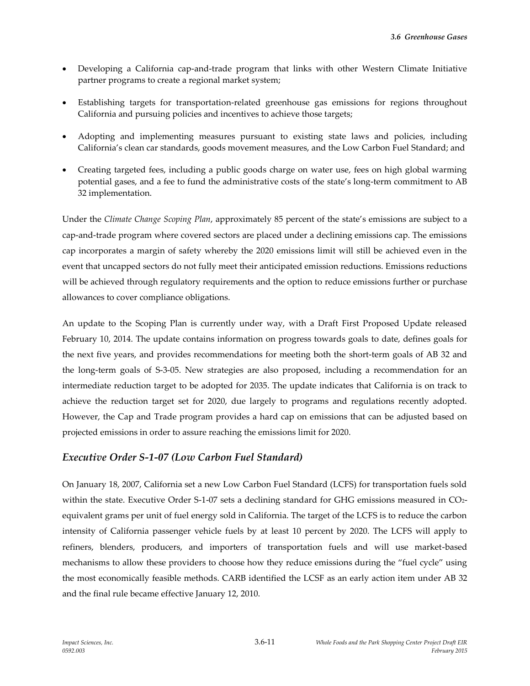- Developing a California cap-and-trade program that links with other Western Climate Initiative partner programs to create a regional market system;
- Establishing targets for transportation-related greenhouse gas emissions for regions throughout California and pursuing policies and incentives to achieve those targets;
- Adopting and implementing measures pursuant to existing state laws and policies, including California's clean car standards, goods movement measures, and the Low Carbon Fuel Standard; and
- Creating targeted fees, including a public goods charge on water use, fees on high global warming potential gases, and a fee to fund the administrative costs of the state's long-term commitment to AB 32 implementation.

Under the *Climate Change Scoping Plan*, approximately 85 percent of the state's emissions are subject to a cap-and-trade program where covered sectors are placed under a declining emissions cap. The emissions cap incorporates a margin of safety whereby the 2020 emissions limit will still be achieved even in the event that uncapped sectors do not fully meet their anticipated emission reductions. Emissions reductions will be achieved through regulatory requirements and the option to reduce emissions further or purchase allowances to cover compliance obligations.

An update to the Scoping Plan is currently under way, with a Draft First Proposed Update released February 10, 2014. The update contains information on progress towards goals to date, defines goals for the next five years, and provides recommendations for meeting both the short-term goals of AB 32 and the long-term goals of S-3-05. New strategies are also proposed, including a recommendation for an intermediate reduction target to be adopted for 2035. The update indicates that California is on track to achieve the reduction target set for 2020, due largely to programs and regulations recently adopted. However, the Cap and Trade program provides a hard cap on emissions that can be adjusted based on projected emissions in order to assure reaching the emissions limit for 2020.

### *Executive Order S-1-07 (Low Carbon Fuel Standard)*

On January 18, 2007, California set a new Low Carbon Fuel Standard (LCFS) for transportation fuels sold within the state. Executive Order S-1-07 sets a declining standard for GHG emissions measured in CO2equivalent grams per unit of fuel energy sold in California. The target of the LCFS is to reduce the carbon intensity of California passenger vehicle fuels by at least 10 percent by 2020. The LCFS will apply to refiners, blenders, producers, and importers of transportation fuels and will use market-based mechanisms to allow these providers to choose how they reduce emissions during the "fuel cycle" using the most economically feasible methods. CARB identified the LCSF as an early action item under AB 32 and the final rule became effective January 12, 2010.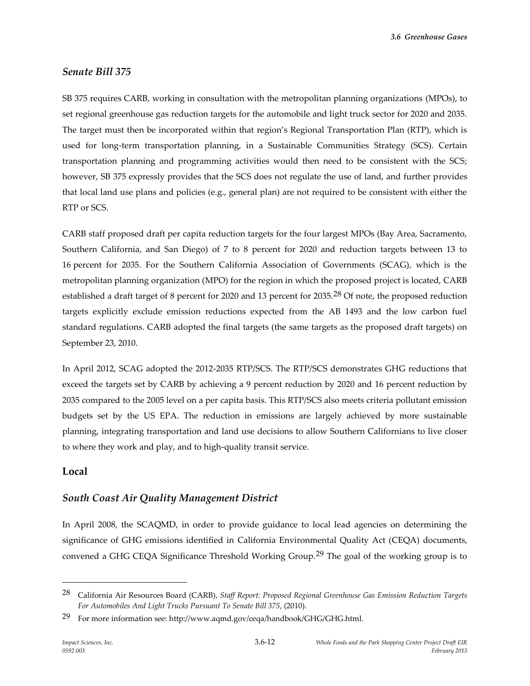*3.6 Greenhouse Gases*

### *Senate Bill 375*

SB 375 requires CARB, working in consultation with the metropolitan planning organizations (MPOs), to set regional greenhouse gas reduction targets for the automobile and light truck sector for 2020 and 2035. The target must then be incorporated within that region's Regional Transportation Plan (RTP), which is used for long-term transportation planning, in a Sustainable Communities Strategy (SCS). Certain transportation planning and programming activities would then need to be consistent with the SCS; however, SB 375 expressly provides that the SCS does not regulate the use of land, and further provides that local land use plans and policies (e.g., general plan) are not required to be consistent with either the RTP or SCS.

CARB staff proposed draft per capita reduction targets for the four largest MPOs (Bay Area, Sacramento, Southern California, and San Diego) of 7 to 8 percent for 2020 and reduction targets between 13 to 16 percent for 2035. For the Southern California Association of Governments (SCAG), which is the metropolitan planning organization (MPO) for the region in which the proposed project is located, CARB established a draft target of 8 percent for 2020 and 13 percent for 2035.<sup>28</sup> Of note, the proposed reduction targets explicitly exclude emission reductions expected from the AB 1493 and the low carbon fuel standard regulations. CARB adopted the final targets (the same targets as the proposed draft targets) on September 23, 2010.

In April 2012, SCAG adopted the 2012-2035 RTP/SCS. The RTP/SCS demonstrates GHG reductions that exceed the targets set by CARB by achieving a 9 percent reduction by 2020 and 16 percent reduction by 2035 compared to the 2005 level on a per capita basis. This RTP/SCS also meets criteria pollutant emission budgets set by the US EPA. The reduction in emissions are largely achieved by more sustainable planning, integrating transportation and land use decisions to allow Southern Californians to live closer to where they work and play, and to high-quality transit service.

### **Local**

 $\overline{a}$ 

## *South Coast Air Quality Management District*

In April 2008, the SCAQMD, in order to provide guidance to local lead agencies on determining the significance of GHG emissions identified in California Environmental Quality Act (CEQA) documents, convened a GHG CEQA Significance Threshold Working Group.<sup>29</sup> The goal of the working group is to

<sup>28</sup> California Air Resources Board (CARB), *Staff Report: Proposed Regional Greenhouse Gas Emission Reduction Targets For Automobiles And Light Trucks Pursuant To Senate Bill 375*, (2010).

<sup>&</sup>lt;sup>29</sup> For more information see: http://www.aqmd.gov/ceqa/handbook/GHG/GHG.html.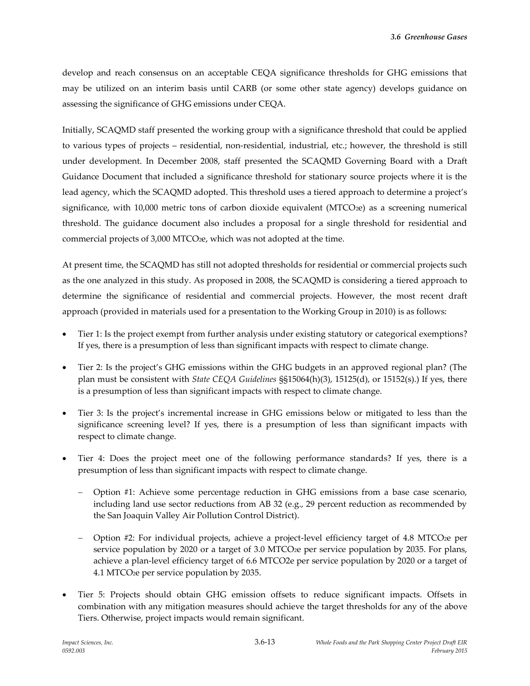develop and reach consensus on an acceptable CEQA significance thresholds for GHG emissions that may be utilized on an interim basis until CARB (or some other state agency) develops guidance on assessing the significance of GHG emissions under CEQA.

Initially, SCAQMD staff presented the working group with a significance threshold that could be applied to various types of projects – residential, non-residential, industrial, etc.; however, the threshold is still under development. In December 2008, staff presented the SCAQMD Governing Board with a Draft Guidance Document that included a significance threshold for stationary source projects where it is the lead agency, which the SCAQMD adopted. This threshold uses a tiered approach to determine a project's significance, with 10,000 metric tons of carbon dioxide equivalent (MTCO<sub>2</sub>e) as a screening numerical threshold. The guidance document also includes a proposal for a single threshold for residential and commercial projects of 3,000 MTCO2e, which was not adopted at the time.

At present time, the SCAQMD has still not adopted thresholds for residential or commercial projects such as the one analyzed in this study. As proposed in 2008, the SCAQMD is considering a tiered approach to determine the significance of residential and commercial projects. However, the most recent draft approach (provided in materials used for a presentation to the Working Group in 2010) is as follows:

- Tier 1: Is the project exempt from further analysis under existing statutory or categorical exemptions? If yes, there is a presumption of less than significant impacts with respect to climate change.
- Tier 2: Is the project's GHG emissions within the GHG budgets in an approved regional plan? (The plan must be consistent with *State CEQA Guidelines* §§15064(h)(3), 15125(d), or 15152(s).) If yes, there is a presumption of less than significant impacts with respect to climate change.
- Tier 3: Is the project's incremental increase in GHG emissions below or mitigated to less than the significance screening level? If yes, there is a presumption of less than significant impacts with respect to climate change.
- Tier 4: Does the project meet one of the following performance standards? If yes, there is a presumption of less than significant impacts with respect to climate change.
	- Option #1: Achieve some percentage reduction in GHG emissions from a base case scenario, including land use sector reductions from AB 32 (e.g., 29 percent reduction as recommended by the San Joaquin Valley Air Pollution Control District).
	- Option #2: For individual projects, achieve a project-level efficiency target of 4.8 MTCO2e per service population by 2020 or a target of 3.0 MTCO<sub>2</sub>e per service population by 2035. For plans, achieve a plan-level efficiency target of 6.6 MTCO2e per service population by 2020 or a target of 4.1 MTCO2e per service population by 2035.
- Tier 5: Projects should obtain GHG emission offsets to reduce significant impacts. Offsets in combination with any mitigation measures should achieve the target thresholds for any of the above Tiers. Otherwise, project impacts would remain significant.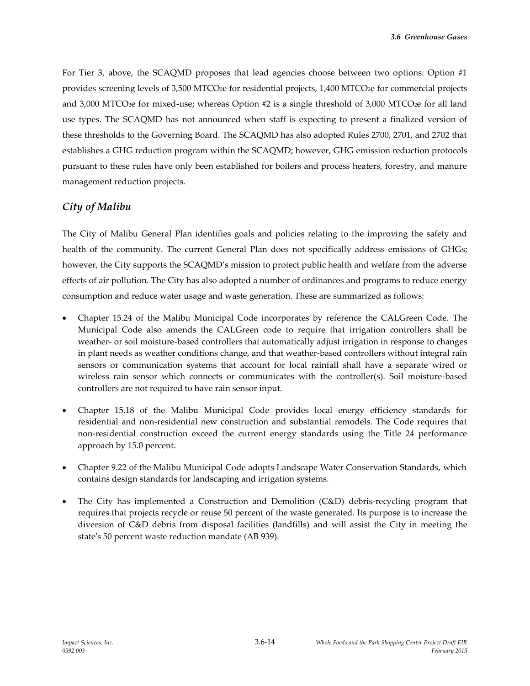For Tier 3, above, the SCAQMD proposes that lead agencies choose between two options: Option #1 provides screening levels of 3,500 MTCO2e for residential projects, 1,400 MTCO2e for commercial projects and 3,000 MTCO<sub>2</sub>e for mixed-use; whereas Option #2 is a single threshold of 3,000 MTCO<sub>2</sub>e for all land use types. The SCAQMD has not announced when staff is expecting to present a finalized version of these thresholds to the Governing Board. The SCAQMD has also adopted Rules 2700, 2701, and 2702 that establishes a GHG reduction program within the SCAQMD; however, GHG emission reduction protocols pursuant to these rules have only been established for boilers and process heaters, forestry, and manure management reduction projects.

## *City of Malibu*

The City of Malibu General Plan identifies goals and policies relating to the improving the safety and health of the community. The current General Plan does not specifically address emissions of GHGs; however, the City supports the SCAQMD's mission to protect public health and welfare from the adverse effects of air pollution. The City has also adopted a number of ordinances and programs to reduce energy consumption and reduce water usage and waste generation. These are summarized as follows:

- Chapter 15.24 of the Malibu Municipal Code incorporates by reference the CALGreen Code. The Municipal Code also amends the CALGreen code to require that irrigation controllers shall be weather- or soil moisture-based controllers that automatically adjust irrigation in response to changes in plant needs as weather conditions change, and that weather-based controllers without integral rain sensors or communication systems that account for local rainfall shall have a separate wired or wireless rain sensor which connects or communicates with the controller(s). Soil moisture-based controllers are not required to have rain sensor input.
- Chapter 15.18 of the Malibu Municipal Code provides local energy efficiency standards for residential and non-residential new construction and substantial remodels. The Code requires that non-residential construction exceed the current energy standards using the Title 24 performance approach by 15.0 percent.
- Chapter 9.22 of the Malibu Municipal Code adopts Landscape Water Conservation Standards, which contains design standards for landscaping and irrigation systems.
- The City has implemented a Construction and Demolition (C&D) debris-recycling program that requires that projects recycle or reuse 50 percent of the waste generated. Its purpose is to increase the diversion of C&D debris from disposal facilities (landfills) and will assist the City in meeting the state's 50 percent waste reduction mandate (AB 939).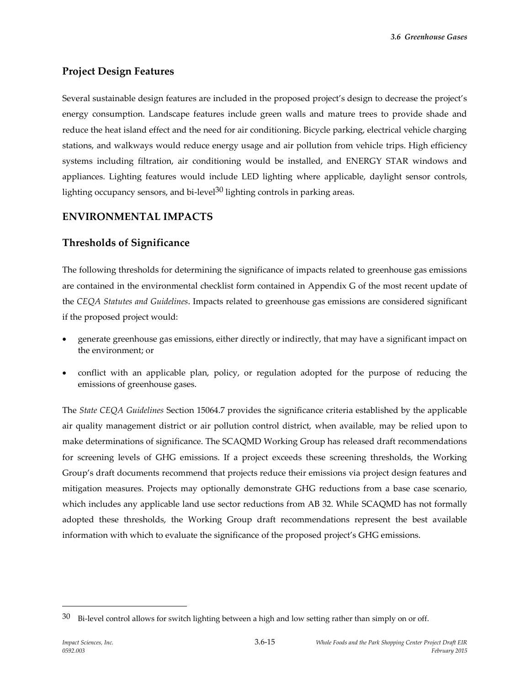## **Project Design Features**

Several sustainable design features are included in the proposed project's design to decrease the project's energy consumption. Landscape features include green walls and mature trees to provide shade and reduce the heat island effect and the need for air conditioning. Bicycle parking, electrical vehicle charging stations, and walkways would reduce energy usage and air pollution from vehicle trips. High efficiency systems including filtration, air conditioning would be installed, and ENERGY STAR windows and appliances. Lighting features would include LED lighting where applicable, daylight sensor controls, lighting occupancy sensors, and bi-level<sup>30</sup> lighting controls in parking areas.

## **ENVIRONMENTAL IMPACTS**

## **Thresholds of Significance**

The following thresholds for determining the significance of impacts related to greenhouse gas emissions are contained in the environmental checklist form contained in Appendix G of the most recent update of the *CEQA Statutes and Guidelines*. Impacts related to greenhouse gas emissions are considered significant if the proposed project would:

- generate greenhouse gas emissions, either directly or indirectly, that may have a significant impact on the environment; or
- conflict with an applicable plan, policy, or regulation adopted for the purpose of reducing the emissions of greenhouse gases.

The *State CEQA Guidelines* Section 15064.7 provides the significance criteria established by the applicable air quality management district or air pollution control district, when available, may be relied upon to make determinations of significance. The SCAQMD Working Group has released draft recommendations for screening levels of GHG emissions. If a project exceeds these screening thresholds, the Working Group's draft documents recommend that projects reduce their emissions via project design features and mitigation measures. Projects may optionally demonstrate GHG reductions from a base case scenario, which includes any applicable land use sector reductions from AB 32. While SCAQMD has not formally adopted these thresholds, the Working Group draft recommendations represent the best available information with which to evaluate the significance of the proposed project's GHG emissions.

 $30$  Bi-level control allows for switch lighting between a high and low setting rather than simply on or off.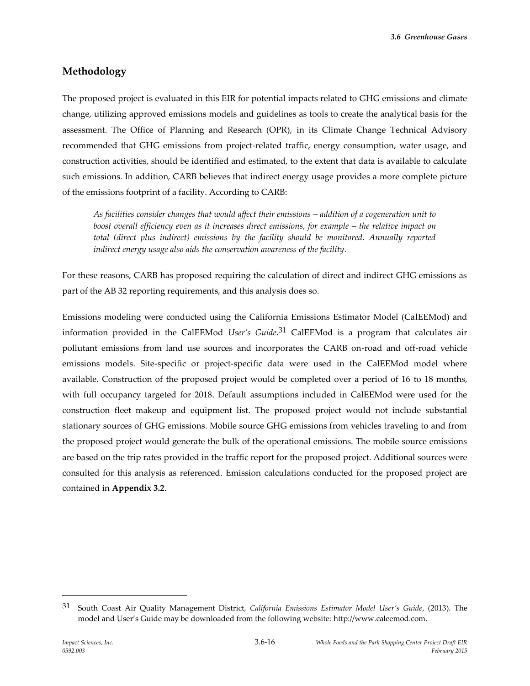*3.6 Greenhouse Gases*

## **Methodology**

The proposed project is evaluated in this EIR for potential impacts related to GHG emissions and climate change, utilizing approved emissions models and guidelines as tools to create the analytical basis for the assessment. The Office of Planning and Research (OPR), in its Climate Change Technical Advisory recommended that GHG emissions from project-related traffic, energy consumption, water usage, and construction activities, should be identified and estimated, to the extent that data is available to calculate such emissions. In addition, CARB believes that indirect energy usage provides a more complete picture of the emissions footprint of a facility. According to CARB:

*As facilities consider changes that would affect their emissions – addition of a cogeneration unit to boost overall efficiency even as it increases direct emissions, for example – the relative impact on* total (direct plus indirect) emissions by the facility should be monitored. Annually reported *indirect energy usage also aids the conservation awareness of the facility.*

For these reasons, CARB has proposed requiring the calculation of direct and indirect GHG emissions as part of the AB 32 reporting requirements, and this analysis does so.

Emissions modeling were conducted using the California Emissions Estimator Model (CalEEMod) and information provided in the CalEEMod *User's Guide*. 31 CalEEMod is a program that calculates air pollutant emissions from land use sources and incorporates the CARB on-road and off-road vehicle emissions models. Site-specific or project-specific data were used in the CalEEMod model where available. Construction of the proposed project would be completed over a period of 16 to 18 months, with full occupancy targeted for 2018. Default assumptions included in CalEEMod were used for the construction fleet makeup and equipment list. The proposed project would not include substantial stationary sources of GHG emissions. Mobile source GHG emissions from vehicles traveling to and from the proposed project would generate the bulk of the operational emissions. The mobile source emissions are based on the trip rates provided in the traffic report for the proposed project. Additional sources were consulted for this analysis as referenced. Emission calculations conducted for the proposed project are contained in **Appendix 3.2**.

<sup>31</sup> South Coast Air Quality Management District, *California Emissions Estimator Model User's Guide*, (2013). The model and User's Guide may be downloaded from the following website: http://www.caleemod.com.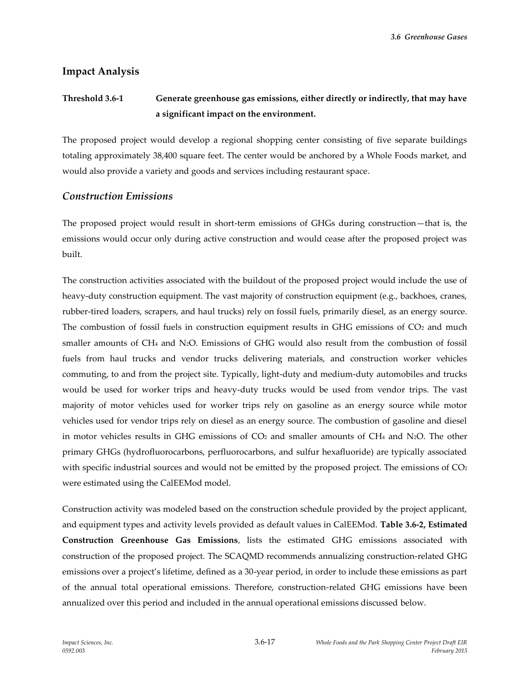*3.6 Greenhouse Gases*

### **Impact Analysis**

# **Threshold 3.6-1 Generate greenhouse gas emissions, either directly or indirectly, that may have a significant impact on the environment.**

The proposed project would develop a regional shopping center consisting of five separate buildings totaling approximately 38,400 square feet. The center would be anchored by a Whole Foods market, and would also provide a variety and goods and services including restaurant space.

#### *Construction Emissions*

The proposed project would result in short-term emissions of GHGs during construction—that is, the emissions would occur only during active construction and would cease after the proposed project was built.

The construction activities associated with the buildout of the proposed project would include the use of heavy-duty construction equipment. The vast majority of construction equipment (e.g., backhoes, cranes, rubber-tired loaders, scrapers, and haul trucks) rely on fossil fuels, primarily diesel, as an energy source. The combustion of fossil fuels in construction equipment results in GHG emissions of CO<sub>2</sub> and much smaller amounts of CH<sup>4</sup> and N2O. Emissions of GHG would also result from the combustion of fossil fuels from haul trucks and vendor trucks delivering materials, and construction worker vehicles commuting, to and from the project site. Typically, light-duty and medium-duty automobiles and trucks would be used for worker trips and heavy-duty trucks would be used from vendor trips. The vast majority of motor vehicles used for worker trips rely on gasoline as an energy source while motor vehicles used for vendor trips rely on diesel as an energy source. The combustion of gasoline and diesel in motor vehicles results in GHG emissions of  $CO<sub>2</sub>$  and smaller amounts of  $CH<sub>4</sub>$  and N<sub>2</sub>O. The other primary GHGs (hydrofluorocarbons, perfluorocarbons, and sulfur hexafluoride) are typically associated with specific industrial sources and would not be emitted by the proposed project. The emissions of  $CO<sub>2</sub>$ were estimated using the CalEEMod model.

Construction activity was modeled based on the construction schedule provided by the project applicant, and equipment types and activity levels provided as default values in CalEEMod. **Table 3.6-2, Estimated Construction Greenhouse Gas Emissions**, lists the estimated GHG emissions associated with construction of the proposed project. The SCAQMD recommends annualizing construction-related GHG emissions over a project's lifetime, defined as a 30-year period, in order to include these emissions as part of the annual total operational emissions. Therefore, construction-related GHG emissions have been annualized over this period and included in the annual operational emissions discussed below.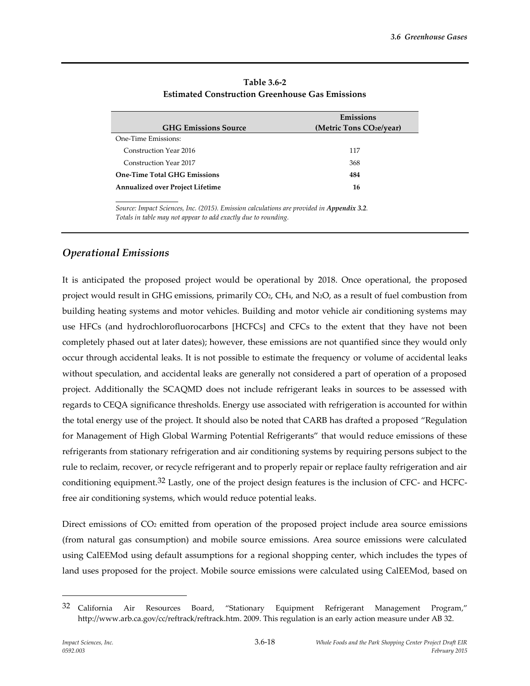| <b>GHG Emissions Source</b>             | Emissions<br>(Metric Tons CO <sub>2</sub> e/year) |
|-----------------------------------------|---------------------------------------------------|
| One-Time Emissions:                     |                                                   |
| Construction Year 2016                  | 117                                               |
| Construction Year 2017                  | 368                                               |
| <b>One-Time Total GHG Emissions</b>     | 484                                               |
| <b>Annualized over Project Lifetime</b> | 16                                                |

**Table 3.6-2 Estimated Construction Greenhouse Gas Emissions**

*Source: Impact Sciences, Inc. (2015). Emission calculations are provided in Appendix 3.2. Totals in table may not appear to add exactly due to rounding.*

## *Operational Emissions*

It is anticipated the proposed project would be operational by 2018. Once operational, the proposed project would result in GHG emissions, primarily CO2, CH4, and N2O, as a result of fuel combustion from building heating systems and motor vehicles. Building and motor vehicle air conditioning systems may use HFCs (and hydrochlorofluorocarbons [HCFCs] and CFCs to the extent that they have not been completely phased out at later dates); however, these emissions are not quantified since they would only occur through accidental leaks. It is not possible to estimate the frequency or volume of accidental leaks without speculation, and accidental leaks are generally not considered a part of operation of a proposed project. Additionally the SCAQMD does not include refrigerant leaks in sources to be assessed with regards to CEQA significance thresholds. Energy use associated with refrigeration is accounted for within the total energy use of the project. It should also be noted that CARB has drafted a proposed "Regulation for Management of High Global Warming Potential Refrigerants" that would reduce emissions of these refrigerants from stationary refrigeration and air conditioning systems by requiring persons subject to the rule to reclaim, recover, or recycle refrigerant and to properly repair or replace faulty refrigeration and air conditioning equipment.32 Lastly, one of the project design features is the inclusion of CFC- and HCFCfree air conditioning systems, which would reduce potential leaks.

Direct emissions of CO<sub>2</sub> emitted from operation of the proposed project include area source emissions (from natural gas consumption) and mobile source emissions. Area source emissions were calculated using CalEEMod using default assumptions for a regional shopping center, which includes the types of land uses proposed for the project. Mobile source emissions were calculated using CalEEMod, based on

<sup>32</sup> California Air Resources Board, "Stationary Equipment Refrigerant Management Program," http://www.arb.ca.gov/cc/reftrack/reftrack.htm. 2009. This regulation is an early action measure under AB 32.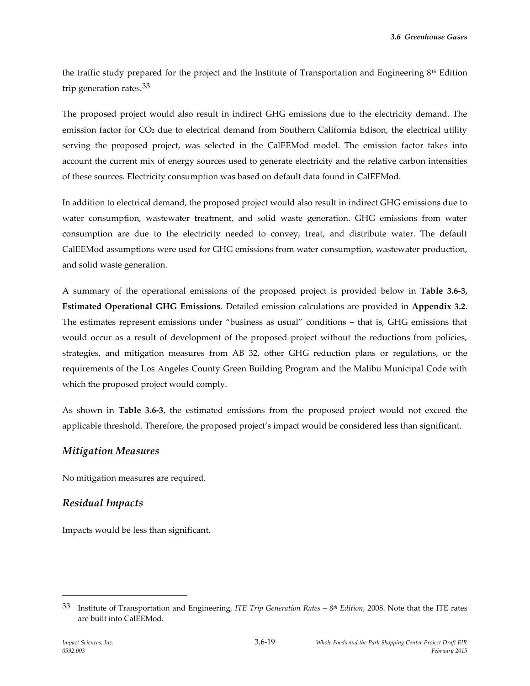the traffic study prepared for the project and the Institute of Transportation and Engineering 8th Edition trip generation rates.33

The proposed project would also result in indirect GHG emissions due to the electricity demand. The emission factor for CO<sup>2</sup> due to electrical demand from Southern California Edison, the electrical utility serving the proposed project, was selected in the CalEEMod model. The emission factor takes into account the current mix of energy sources used to generate electricity and the relative carbon intensities of these sources. Electricity consumption was based on default data found in CalEEMod.

In addition to electrical demand, the proposed project would also result in indirect GHG emissions due to water consumption, wastewater treatment, and solid waste generation. GHG emissions from water consumption are due to the electricity needed to convey, treat, and distribute water. The default CalEEMod assumptions were used for GHG emissions from water consumption, wastewater production, and solid waste generation.

A summary of the operational emissions of the proposed project is provided below in **Table 3.6-3, Estimated Operational GHG Emissions**. Detailed emission calculations are provided in **Appendix 3.2**. The estimates represent emissions under "business as usual" conditions – that is, GHG emissions that would occur as a result of development of the proposed project without the reductions from policies, strategies, and mitigation measures from AB 32, other GHG reduction plans or regulations, or the requirements of the Los Angeles County Green Building Program and the Malibu Municipal Code with which the proposed project would comply.

As shown in **Table 3.6-3**, the estimated emissions from the proposed project would not exceed the applicable threshold. Therefore, the proposed project's impact would be considered less than significant.

### *Mitigation Measures*

No mitigation measures are required.

## *Residual Impacts*

Impacts would be less than significant.

<sup>33</sup> Institute of Transportation and Engineering, *ITE Trip Generation Rates – 8 th Edition*, 2008. Note that the ITE rates are built into CalEEMod.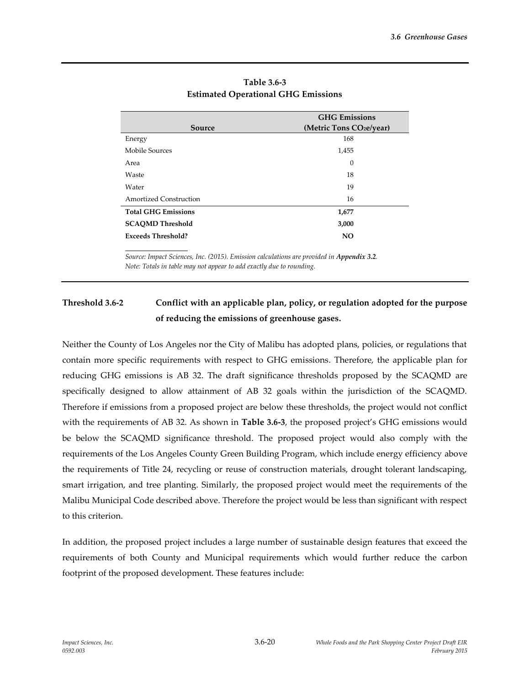|                            | <b>GHG</b> Emissions                 |  |
|----------------------------|--------------------------------------|--|
| Source                     | (Metric Tons CO <sub>2</sub> e/year) |  |
| Energy                     | 168                                  |  |
| Mobile Sources             | 1,455                                |  |
| Area                       | $\theta$                             |  |
| Waste                      | 18                                   |  |
| Water                      | 19                                   |  |
| Amortized Construction     | 16                                   |  |
| <b>Total GHG Emissions</b> | 1,677                                |  |
| <b>SCAOMD Threshold</b>    | 3,000                                |  |
| <b>Exceeds Threshold?</b>  | <b>NO</b>                            |  |

#### **Table 3.6-3 Estimated Operational GHG Emissions**

Source: Impact Sciences, Inc. (2015). Emission calculations are provided in Appendix 3.2. *Note: Totals in table may not appear to add exactly due to rounding.*

# **Threshold 3.6-2 Conflict with an applicable plan, policy, or regulation adopted for the purpose of reducing the emissions of greenhouse gases.**

Neither the County of Los Angeles nor the City of Malibu has adopted plans, policies, or regulations that contain more specific requirements with respect to GHG emissions. Therefore, the applicable plan for reducing GHG emissions is AB 32. The draft significance thresholds proposed by the SCAQMD are specifically designed to allow attainment of AB 32 goals within the jurisdiction of the SCAQMD. Therefore if emissions from a proposed project are below these thresholds, the project would not conflict with the requirements of AB 32. As shown in **Table 3.6-3**, the proposed project's GHG emissions would be below the SCAQMD significance threshold. The proposed project would also comply with the requirements of the Los Angeles County Green Building Program, which include energy efficiency above the requirements of Title 24, recycling or reuse of construction materials, drought tolerant landscaping, smart irrigation, and tree planting. Similarly, the proposed project would meet the requirements of the Malibu Municipal Code described above. Therefore the project would be less than significant with respect to this criterion.

In addition, the proposed project includes a large number of sustainable design features that exceed the requirements of both County and Municipal requirements which would further reduce the carbon footprint of the proposed development. These features include: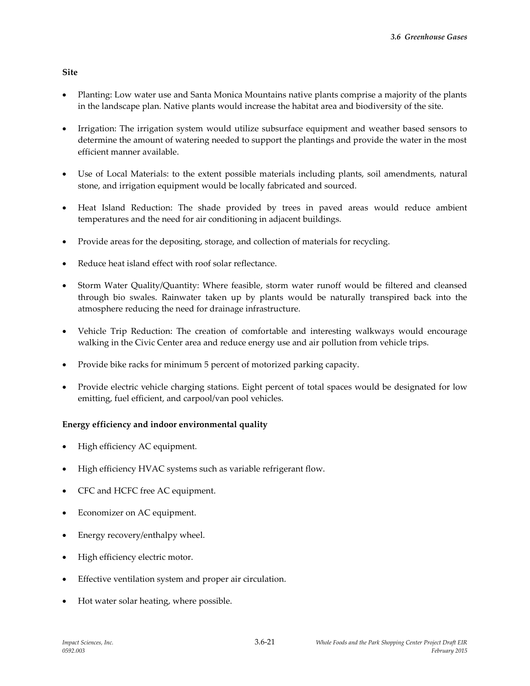**Site**

- Planting: Low water use and Santa Monica Mountains native plants comprise a majority of the plants in the landscape plan. Native plants would increase the habitat area and biodiversity of the site.
- Irrigation: The irrigation system would utilize subsurface equipment and weather based sensors to determine the amount of watering needed to support the plantings and provide the water in the most efficient manner available.
- Use of Local Materials: to the extent possible materials including plants, soil amendments, natural stone, and irrigation equipment would be locally fabricated and sourced.
- Heat Island Reduction: The shade provided by trees in paved areas would reduce ambient temperatures and the need for air conditioning in adjacent buildings.
- Provide areas for the depositing, storage, and collection of materials for recycling.
- Reduce heat island effect with roof solar reflectance.
- Storm Water Quality/Quantity: Where feasible, storm water runoff would be filtered and cleansed through bio swales. Rainwater taken up by plants would be naturally transpired back into the atmosphere reducing the need for drainage infrastructure.
- Vehicle Trip Reduction: The creation of comfortable and interesting walkways would encourage walking in the Civic Center area and reduce energy use and air pollution from vehicle trips.
- Provide bike racks for minimum 5 percent of motorized parking capacity.
- Provide electric vehicle charging stations. Eight percent of total spaces would be designated for low emitting, fuel efficient, and carpool/van pool vehicles.

#### **Energy efficiency and indoor environmental quality**

- High efficiency AC equipment.
- High efficiency HVAC systems such as variable refrigerant flow.
- CFC and HCFC free AC equipment.
- Economizer on AC equipment.
- Energy recovery/enthalpy wheel.
- High efficiency electric motor.
- Effective ventilation system and proper air circulation.
- Hot water solar heating, where possible.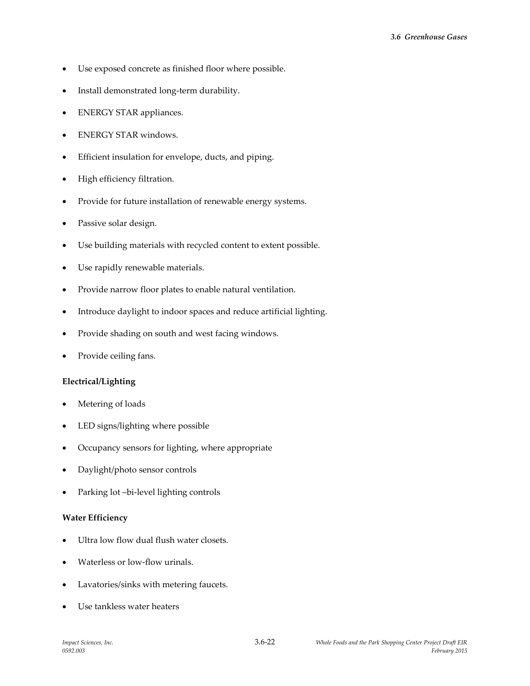- Use exposed concrete as finished floor where possible.
- Install demonstrated long-term durability.
- ENERGY STAR appliances.
- ENERGY STAR windows.
- Efficient insulation for envelope, ducts, and piping.
- High efficiency filtration.
- Provide for future installation of renewable energy systems.
- Passive solar design.
- Use building materials with recycled content to extent possible.
- Use rapidly renewable materials.
- Provide narrow floor plates to enable natural ventilation.
- Introduce daylight to indoor spaces and reduce artificial lighting.
- Provide shading on south and west facing windows.
- Provide ceiling fans.

#### **Electrical/Lighting**

- Metering of loads
- LED signs/lighting where possible
- Occupancy sensors for lighting, where appropriate
- Daylight/photo sensor controls
- Parking lot –bi-level lighting controls

#### **Water Efficiency**

- Ultra low flow dual flush water closets.
- Waterless or low-flow urinals.
- Lavatories/sinks with metering faucets.
- Use tankless water heaters